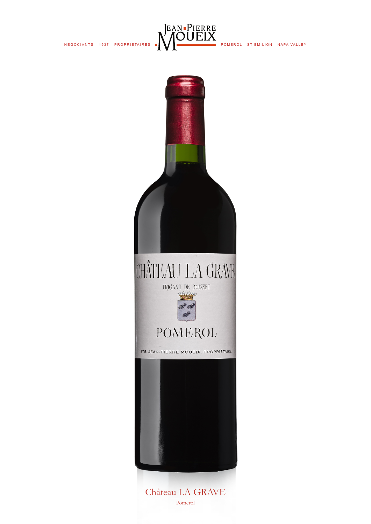



Château LA GRAVE Pomerol